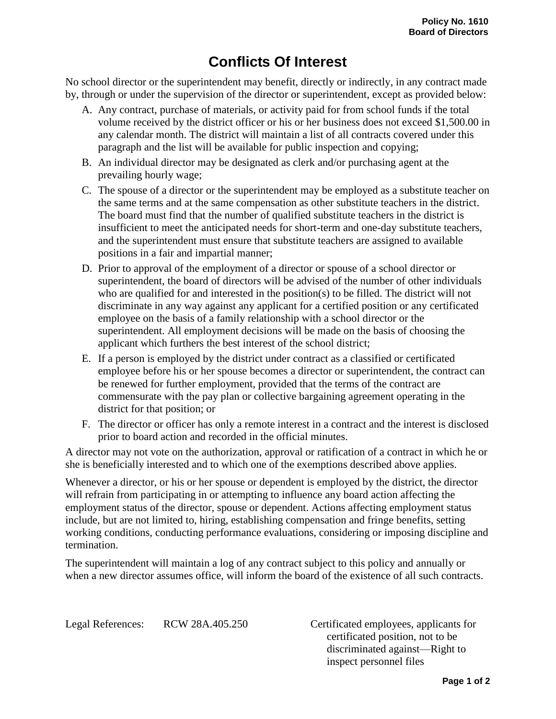## **Conflicts Of Interest**

No school director or the superintendent may benefit, directly or indirectly, in any contract made by, through or under the supervision of the director or superintendent, except as provided below:

- A. Any contract, purchase of materials, or activity paid for from school funds if the total volume received by the district officer or his or her business does not exceed \$1,500.00 in any calendar month. The district will maintain a list of all contracts covered under this paragraph and the list will be available for public inspection and copying;
- B. An individual director may be designated as clerk and/or purchasing agent at the prevailing hourly wage;
- C. The spouse of a director or the superintendent may be employed as a substitute teacher on the same terms and at the same compensation as other substitute teachers in the district. The board must find that the number of qualified substitute teachers in the district is insufficient to meet the anticipated needs for short-term and one-day substitute teachers, and the superintendent must ensure that substitute teachers are assigned to available positions in a fair and impartial manner;
- D. Prior to approval of the employment of a director or spouse of a school director or superintendent, the board of directors will be advised of the number of other individuals who are qualified for and interested in the position(s) to be filled. The district will not discriminate in any way against any applicant for a certified position or any certificated employee on the basis of a family relationship with a school director or the superintendent. All employment decisions will be made on the basis of choosing the applicant which furthers the best interest of the school district;
- E. If a person is employed by the district under contract as a classified or certificated employee before his or her spouse becomes a director or superintendent, the contract can be renewed for further employment, provided that the terms of the contract are commensurate with the pay plan or collective bargaining agreement operating in the district for that position; or
- F. The director or officer has only a remote interest in a contract and the interest is disclosed prior to board action and recorded in the official minutes.

A director may not vote on the authorization, approval or ratification of a contract in which he or she is beneficially interested and to which one of the exemptions described above applies.

Whenever a director, or his or her spouse or dependent is employed by the district, the director will refrain from participating in or attempting to influence any board action affecting the employment status of the director, spouse or dependent. Actions affecting employment status include, but are not limited to, hiring, establishing compensation and fringe benefits, setting working conditions, conducting performance evaluations, considering or imposing discipline and termination.

The superintendent will maintain a log of any contract subject to this policy and annually or when a new director assumes office, will inform the board of the existence of all such contracts.

Legal References: RCW 28A.405.250 Certificated employees, applicants for certificated position, not to be discriminated against—Right to inspect personnel files